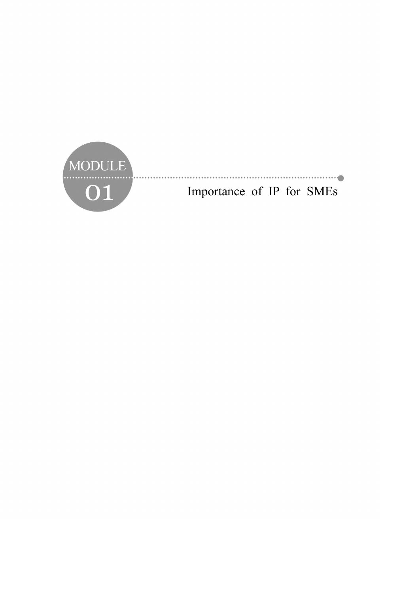

Importance of IP for SMEs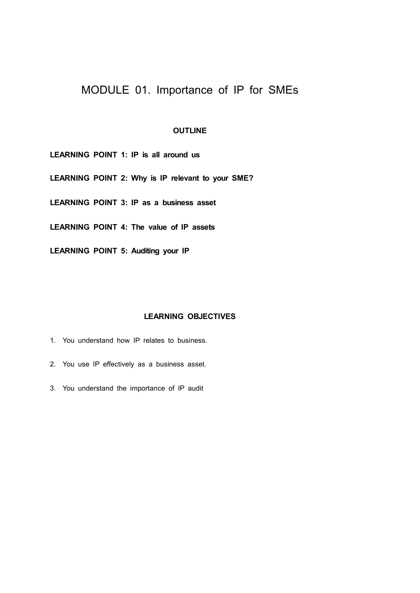# MODULE 01. Importance of IP for SMEs

## **OUTLINE**

**LEARNING POINT 1: IP is all around us LEARNING POINT 2: Why is IP relevant to your SME? LEARNING POINT 3: IP as a business asset LEARNING POINT 4: The value of IP assets LEARNING POINT 5: Auditing your IP**

## **LEARNING OBJECTIVES**

- 1. You understand how IP relates to business.
- 2. You use IP effectively as a business asset.
- 3. You understand the importance of IP audit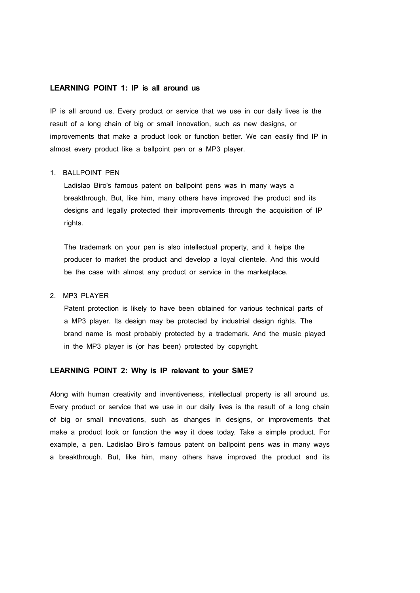#### **LEARNING POINT 1: IP is all around us**

IP is all around us. Every product or service that we use in our daily lives is the result of a long chain of big or small innovation, such as new designs, or improvements that make a product look or function better. We can easily find IP in almost every product like a ballpoint pen or a MP3 player.

### 1. BALLPOINT PEN

 Ladislao Biro's famous patent on ballpoint pens was in many ways a breakthrough. But, like him, many others have improved the product and its designs and legally protected their improvements through the acquisition of IP rights.

 The trademark on your pen is also intellectual property, and it helps the producer to market the product and develop a loyal clientele. And this would be the case with almost any product or service in the marketplace.

## 2. MP3 PLAYER

 Patent protection is likely to have been obtained for various technical parts of a MP3 player. Its design may be protected by industrial design rights. The brand name is most probably protected by a trademark. And the music played in the MP3 player is (or has been) protected by copyright.

## **LEARNING POINT 2: Why is IP relevant to your SME?**

Along with human creativity and inventiveness, intellectual property is all around us. Every product or service that we use in our daily lives is the result of a long chain of big or small innovations, such as changes in designs, or improvements that make a product look or function the way it does today. Take a simple product. For example, a pen. Ladislao Biro's famous patent on ballpoint pens was in many ways a breakthrough. But, like him, many others have improved the product and its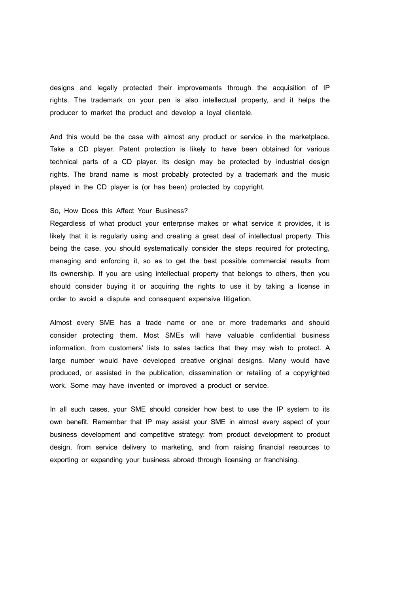designs and legally protected their improvements through the acquisition of IP rights. The trademark on your pen is also intellectual property, and it helps the producer to market the product and develop a loyal clientele.

And this would be the case with almost any product or service in the marketplace. Take a CD player. Patent protection is likely to have been obtained for various technical parts of a CD player. Its design may be protected by industrial design rights. The brand name is most probably protected by a trademark and the music played in the CD player is (or has been) protected by copyright.

#### So, How Does this Affect Your Business?

Regardless of what product your enterprise makes or what service it provides, it is likely that it is regularly using and creating a great deal of intellectual property. This being the case, you should systematically consider the steps required for protecting, managing and enforcing it, so as to get the best possible commercial results from its ownership. If you are using intellectual property that belongs to others, then you should consider buying it or acquiring the rights to use it by taking a license in order to avoid a dispute and consequent expensive litigation.

Almost every SME has a trade name or one or more trademarks and should consider protecting them. Most SMEs will have valuable confidential business information, from customers' lists to sales tactics that they may wish to protect. A large number would have developed creative original designs. Many would have produced, or assisted in the publication, dissemination or retailing of a copyrighted work. Some may have invented or improved a product or service.

In all such cases, your SME should consider how best to use the IP system to its own benefit. Remember that IP may assist your SME in almost every aspect of your business development and competitive strategy: from product development to product design, from service delivery to marketing, and from raising financial resources to exporting or expanding your business abroad through licensing or franchising.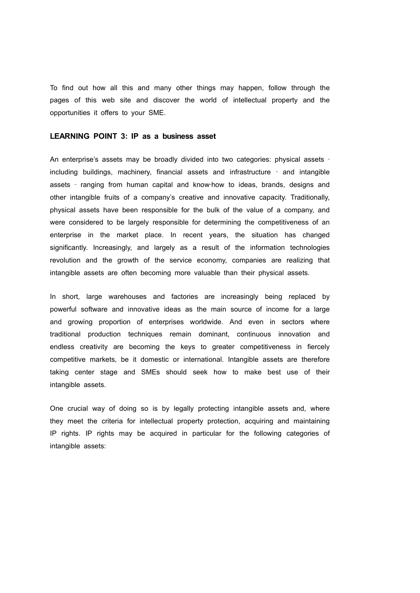To find out how all this and many other things may happen, follow through the pages of this web site and discover the world of intellectual property and the opportunities it offers to your SME.

#### **LEARNING POINT 3: IP as a business asset**

An enterprise's assets may be broadly divided into two categories: physical assets ‐ including buildings, machinery, financial assets and infrastructure ‐ and intangible assets ‐ ranging from human capital and know‐how to ideas, brands, designs and other intangible fruits of a company's creative and innovative capacity. Traditionally, physical assets have been responsible for the bulk of the value of a company, and were considered to be largely responsible for determining the competitiveness of an enterprise in the market place. In recent years, the situation has changed significantly. Increasingly, and largely as a result of the information technologies revolution and the growth of the service economy, companies are realizing that intangible assets are often becoming more valuable than their physical assets.

In short, large warehouses and factories are increasingly being replaced by powerful software and innovative ideas as the main source of income for a large and growing proportion of enterprises worldwide. And even in sectors where traditional production techniques remain dominant, continuous innovation and endless creativity are becoming the keys to greater competitiveness in fiercely competitive markets, be it domestic or international. Intangible assets are therefore taking center stage and SMEs should seek how to make best use of their intangible assets.

One crucial way of doing so is by legally protecting intangible assets and, where they meet the criteria for intellectual property protection, acquiring and maintaining IP rights. IP rights may be acquired in particular for the following categories of intangible assets: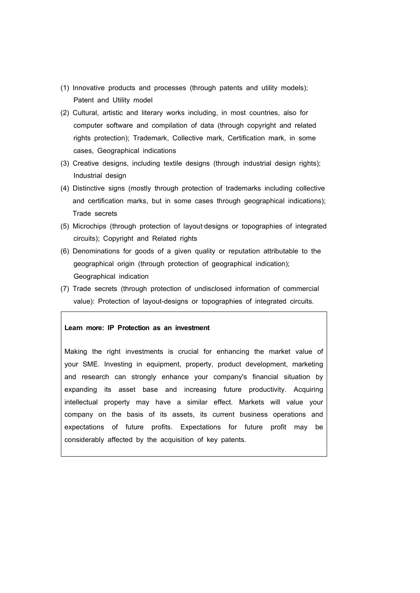- (1) Innovative products and processes (through patents and utility models); Patent and Utility model
- (2) Cultural, artistic and literary works including, in most countries, also for computer software and compilation of data (through copyright and related rights protection); Trademark, Collective mark, Certification mark, in some cases, Geographical indications
- (3) Creative designs, including textile designs (through industrial design rights); Industrial design
- (4) Distinctive signs (mostly through protection of trademarks including collective and certification marks, but in some cases through geographical indications); Trade secrets
- (5) Microchips (through protection of layout‐designs or topographies of integrated circuits); Copyright and Related rights
- (6) Denominations for goods of a given quality or reputation attributable to the geographical origin (through protection of geographical indication); Geographical indication
- (7) Trade secrets (through protection of undisclosed information of commercial value): Protection of layout-designs or topographies of integrated circuits.

#### **Learn more: IP Protection as an investment**

Making the right investments is crucial for enhancing the market value of your SME. Investing in equipment, property, product development, marketing and research can strongly enhance your company's financial situation by expanding its asset base and increasing future productivity. Acquiring intellectual property may have a similar effect. Markets will value your company on the basis of its assets, its current business operations and expectations of future profits. Expectations for future profit may be considerably affected by the acquisition of key patents.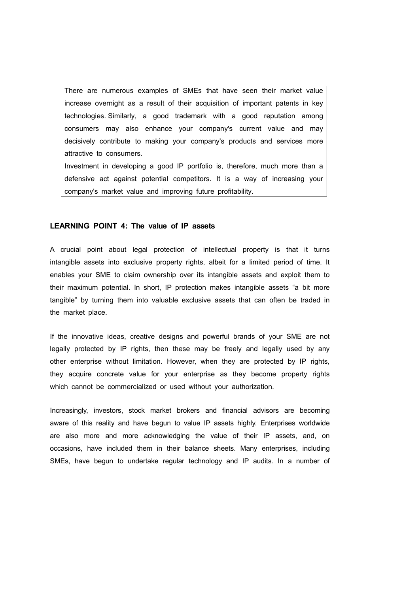There are numerous examples of SMEs that have seen their market value increase overnight as a result of their acquisition of important patents in key technologies. Similarly, a good trademark with a good reputation among consumers may also enhance your company's current value and may decisively contribute to making your company's products and services more attractive to consumers.

Investment in developing a good IP portfolio is, therefore, much more than a defensive act against potential competitors. It is a way of increasing your company's market value and improving future profitability.

## **LEARNING POINT 4: The value of IP assets**

A crucial point about legal protection of intellectual property is that it turns intangible assets into exclusive property rights, albeit for a limited period of time. It enables your SME to claim ownership over its intangible assets and exploit them to their maximum potential. In short, IP protection makes intangible assets "a bit more tangible" by turning them into valuable exclusive assets that can often be traded in the market place.

If the innovative ideas, creative designs and powerful brands of your SME are not legally protected by IP rights, then these may be freely and legally used by any other enterprise without limitation. However, when they are protected by IP rights, they acquire concrete value for your enterprise as they become property rights which cannot be commercialized or used without your authorization.

Increasingly, investors, stock market brokers and financial advisors are becoming aware of this reality and have begun to value IP assets highly. Enterprises worldwide are also more and more acknowledging the value of their IP assets, and, on occasions, have included them in their balance sheets. Many enterprises, including SMEs, have begun to undertake regular technology and IP audits. In a number of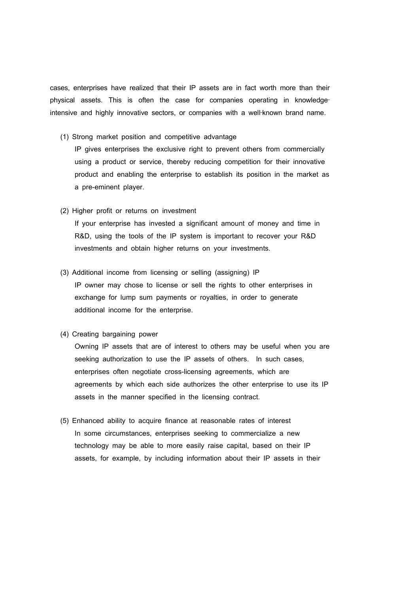cases, enterprises have realized that their IP assets are in fact worth more than their physical assets. This is often the case for companies operating in knowledge‐ intensive and highly innovative sectors, or companies with a well-known brand name.

(1) Strong market position and competitive advantage

 IP gives enterprises the exclusive right to prevent others from commercially using a product or service, thereby reducing competition for their innovative product and enabling the enterprise to establish its position in the market as a pre-eminent player.

(2) Higher profit or returns on investment

 If your enterprise has invested a significant amount of money and time in R&D, using the tools of the IP system is important to recover your R&D investments and obtain higher returns on your investments.

- (3) Additional income from licensing or selling (assigning) IP IP owner may chose to license or sell the rights to other enterprises in exchange for lump sum payments or royalties, in order to generate additional income for the enterprise.
- (4) Creating bargaining power

 Owning IP assets that are of interest to others may be useful when you are seeking authorization to use the IP assets of others. In such cases, enterprises often negotiate cross-licensing agreements, which are agreements by which each side authorizes the other enterprise to use its IP assets in the manner specified in the licensing contract.

 (5) Enhanced ability to acquire finance at reasonable rates of interest In some circumstances, enterprises seeking to commercialize a new technology may be able to more easily raise capital, based on their IP assets, for example, by including information about their IP assets in their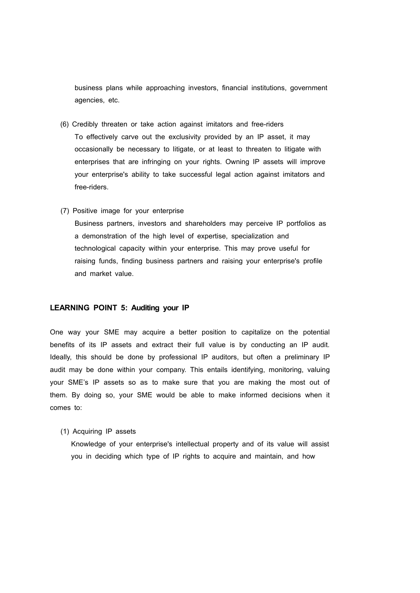business plans while approaching investors, financial institutions, government agencies, etc.

- (6) Credibly threaten or take action against imitators and free-riders To effectively carve out the exclusivity provided by an IP asset, it may occasionally be necessary to litigate, or at least to threaten to litigate with enterprises that are infringing on your rights. Owning IP assets will improve your enterprise's ability to take successful legal action against imitators and free-riders.
- (7) Positive image for your enterprise

 Business partners, investors and shareholders may perceive IP portfolios as a demonstration of the high level of expertise, specialization and technological capacity within your enterprise. This may prove useful for raising funds, finding business partners and raising your enterprise's profile and market value.

#### **LEARNING POINT 5: Auditing your IP**

One way your SME may acquire a better position to capitalize on the potential benefits of its IP assets and extract their full value is by conducting an IP audit. Ideally, this should be done by professional IP auditors, but often a preliminary IP audit may be done within your company. This entails identifying, monitoring, valuing your SME's IP assets so as to make sure that you are making the most out of them. By doing so, your SME would be able to make informed decisions when it comes to:

#### (1) Acquiring IP assets

 Knowledge of your enterprise's intellectual property and of its value will assist you in deciding which type of IP rights to acquire and maintain, and how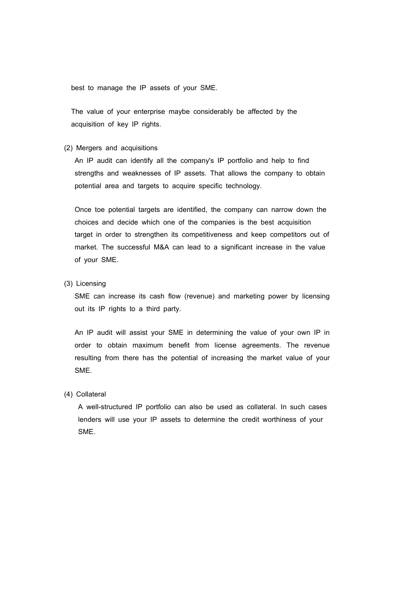best to manage the IP assets of your SME.

 The value of your enterprise maybe considerably be affected by the acquisition of key IP rights.

(2) Mergers and acquisitions

 An IP audit can identify all the company's IP portfolio and help to find strengths and weaknesses of IP assets. That allows the company to obtain potential area and targets to acquire specific technology.

 Once toe potential targets are identified, the company can narrow down the choices and decide which one of the companies is the best acquisition target in order to strengthen its competitiveness and keep competitors out of market. The successful M&A can lead to a significant increase in the value of your SME.

(3) Licensing

 SME can increase its cash flow (revenue) and marketing power by licensing out its IP rights to a third party.

 An IP audit will assist your SME in determining the value of your own IP in order to obtain maximum benefit from license agreements. The revenue resulting from there has the potential of increasing the market value of your SME.

(4) Collateral

 A well-structured IP portfolio can also be used as collateral. In such cases lenders will use your IP assets to determine the credit worthiness of your SME.